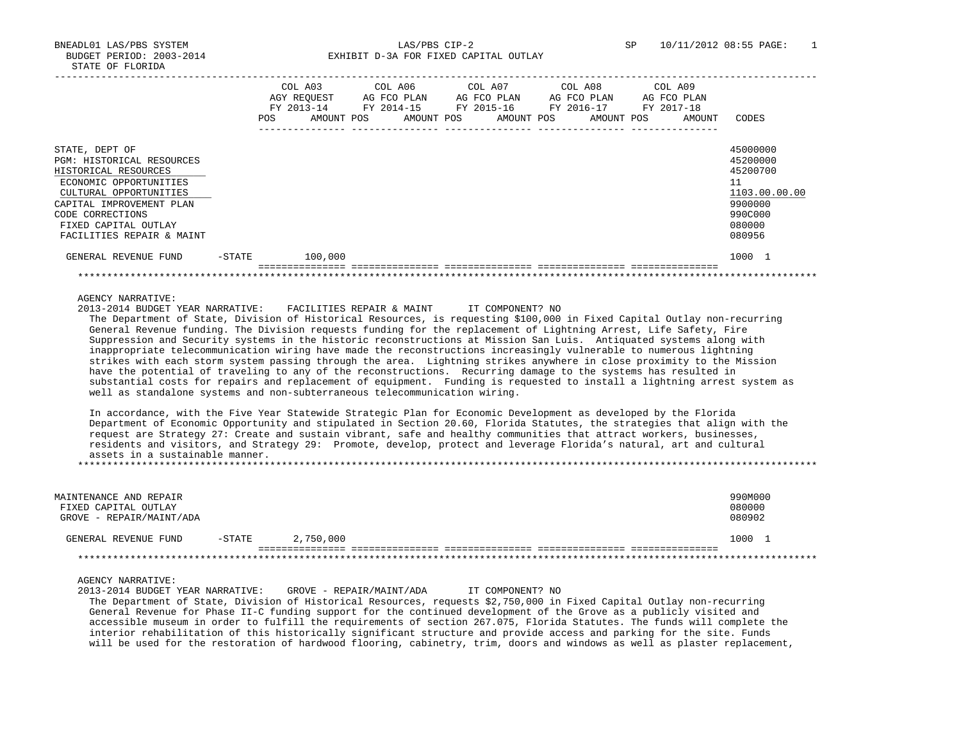BNEADL01 LAS/PBS SYSTEM LAS/PBS CIP-2 SP 10/11/2012 08:55 PAGE: 1 BUDGET PERIOD: 2003-2014 **EXHIBIT D-3A FOR FIXED CAPITAL OUTLAY** 

|                                                                                                                                                                                                                                     | POS       | COL A03<br>AGY REOUEST<br>FY 2013-14<br>AMOUNT POS | COL A06 COL A07 COL A08<br>AG FCO PLAN | AG FCO PLAN |  | AG FCO PLAN<br>FY 2014-15 FY 2015-16 FY 2016-17<br>AMOUNT POS AMOUNT POS AMOUNT POS | COL A09<br>AG FCO PLAN<br>FY 2017-18<br>AMOUNT | CODES                                                                                             |
|-------------------------------------------------------------------------------------------------------------------------------------------------------------------------------------------------------------------------------------|-----------|----------------------------------------------------|----------------------------------------|-------------|--|-------------------------------------------------------------------------------------|------------------------------------------------|---------------------------------------------------------------------------------------------------|
| STATE, DEPT OF<br><b>PGM: HISTORICAL RESOURCES</b><br>HISTORICAL RESOURCES<br>ECONOMIC OPPORTUNITIES<br>CULTURAL OPPORTUNITIES<br>CAPITAL IMPROVEMENT PLAN<br>CODE CORRECTIONS<br>FIXED CAPITAL OUTLAY<br>FACILITIES REPAIR & MAINT |           |                                                    |                                        |             |  |                                                                                     |                                                | 45000000<br>45200000<br>45200700<br>11<br>1103.00.00.00<br>9900000<br>990C000<br>080000<br>080956 |
| GENERAL REVENUE FUND                                                                                                                                                                                                                | $-$ STATE | 100,000                                            |                                        |             |  |                                                                                     |                                                | 1000 1                                                                                            |
|                                                                                                                                                                                                                                     |           |                                                    |                                        |             |  |                                                                                     |                                                |                                                                                                   |

AGENCY NARRATIVE:

2013-2014 BUDGET YEAR NARRATIVE: FACILITIES REPAIR & MAINT IT COMPONENT? NO

 The Department of State, Division of Historical Resources, is requesting \$100,000 in Fixed Capital Outlay non-recurring General Revenue funding. The Division requests funding for the replacement of Lightning Arrest, Life Safety, Fire Suppression and Security systems in the historic reconstructions at Mission San Luis. Antiquated systems along with inappropriate telecommunication wiring have made the reconstructions increasingly vulnerable to numerous lightning strikes with each storm system passing through the area. Lightning strikes anywhere in close proximity to the Mission have the potential of traveling to any of the reconstructions. Recurring damage to the systems has resulted in substantial costs for repairs and replacement of equipment. Funding is requested to install a lightning arrest system as well as standalone systems and non-subterraneous telecommunication wiring.

 In accordance, with the Five Year Statewide Strategic Plan for Economic Development as developed by the Florida Department of Economic Opportunity and stipulated in Section 20.60, Florida Statutes, the strategies that align with the request are Strategy 27: Create and sustain vibrant, safe and healthy communities that attract workers, businesses, residents and visitors, and Strategy 29: Promote, develop, protect and leverage Florida's natural, art and cultural assets in a sustainable manner.

\*\*\*\*\*\*\*\*\*\*\*\*\*\*\*\*\*\*\*\*\*\*\*\*\*\*\*\*\*\*\*\*\*\*\*\*\*\*\*\*\*\*\*\*\*\*\*\*\*\*\*\*\*\*\*\*\*\*\*\*\*\*\*\*\*\*\*\*\*\*\*\*\*\*\*\*\*\*\*\*\*\*\*\*\*\*\*\*\*\*\*\*\*\*\*\*\*\*\*\*\*\*\*\*\*\*\*\*\*\*\*\*\*\*\*\*\*\*\*\*\*\*\*\*\*\*\*

| MAINTENANCE AND REPAIR<br>FIXED CAPITAL OUTLAY<br>GROVE - REPAIR/MAINT/ADA |           |           | 990M000<br>080000<br>080902 |
|----------------------------------------------------------------------------|-----------|-----------|-----------------------------|
| GENERAL REVENUE FUND                                                       | $-$ STATE | 2,750,000 | 1000                        |
|                                                                            |           |           |                             |

## AGENCY NARRATIVE:

 2013-2014 BUDGET YEAR NARRATIVE: GROVE - REPAIR/MAINT/ADA IT COMPONENT? NO The Department of State, Division of Historical Resources, requests \$2,750,000 in Fixed Capital Outlay non-recurring General Revenue for Phase II-C funding support for the continued development of the Grove as a publicly visited and accessible museum in order to fulfill the requirements of section 267.075, Florida Statutes. The funds will complete the interior rehabilitation of this historically significant structure and provide access and parking for the site. Funds will be used for the restoration of hardwood flooring, cabinetry, trim, doors and windows as well as plaster replacement,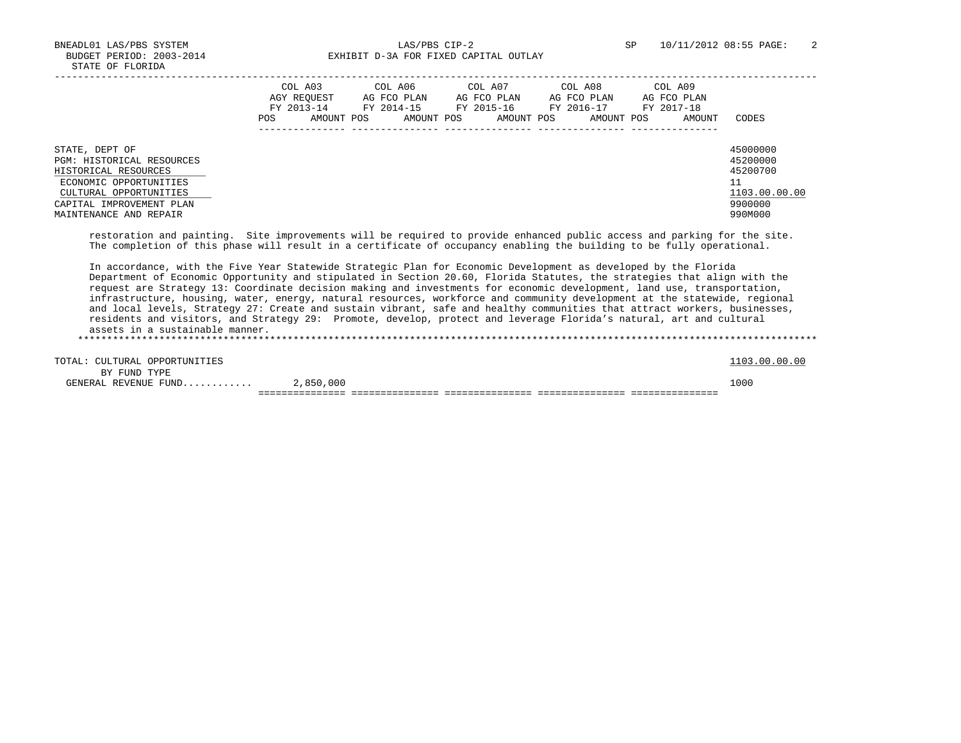BNEADL01 LAS/PBS SYSTEM LAS/PBS CIP-2 SP 10/11/2012 08:55 PAGE: 2 BUDGET PERIOD: 2003-2014 **EXHIBIT D-3A FOR FIXED CAPITAL OUTLAY** 

|                                                                                                                                                                               | COL A03<br>AGY REOUEST<br>FY 2013-14<br>POS. | AMOUNT POS | COL A06<br>AG FCO PLAN<br>FY 2014-15<br>AMOUNT POS | COL A07<br>AG FCO PLAN<br>FY 2015-16<br>AMOUNT POS | COL A08<br>AG FCO PLAN<br>FY 2016-17 | AMOUNT POS | COL A09<br>AG FCO PLAN<br>FY 2017-18 | AMOUNT | CODES                                                                         |
|-------------------------------------------------------------------------------------------------------------------------------------------------------------------------------|----------------------------------------------|------------|----------------------------------------------------|----------------------------------------------------|--------------------------------------|------------|--------------------------------------|--------|-------------------------------------------------------------------------------|
| STATE, DEPT OF<br>PGM: HISTORICAL RESOURCES<br>HISTORICAL RESOURCES<br>ECONOMIC OPPORTUNITIES<br>CULTURAL OPPORTUNITIES<br>CAPITAL IMPROVEMENT PLAN<br>MAINTENANCE AND REPAIR |                                              |            |                                                    |                                                    |                                      |            |                                      |        | 45000000<br>45200000<br>45200700<br>11<br>1103.00.00.00<br>9900000<br>990M000 |

 restoration and painting. Site improvements will be required to provide enhanced public access and parking for the site. The completion of this phase will result in a certificate of occupancy enabling the building to be fully operational.

 In accordance, with the Five Year Statewide Strategic Plan for Economic Development as developed by the Florida Department of Economic Opportunity and stipulated in Section 20.60, Florida Statutes, the strategies that align with the request are Strategy 13: Coordinate decision making and investments for economic development, land use, transportation, infrastructure, housing, water, energy, natural resources, workforce and community development at the statewide, regional and local levels, Strategy 27: Create and sustain vibrant, safe and healthy communities that attract workers, businesses, residents and visitors, and Strategy 29: Promote, develop, protect and leverage Florida's natural, art and cultural assets in a sustainable manner. \*\*\*\*\*\*\*\*\*\*\*\*\*\*\*\*\*\*\*\*\*\*\*\*\*\*\*\*\*\*\*\*\*\*\*\*\*\*\*\*\*\*\*\*\*\*\*\*\*\*\*\*\*\*\*\*\*\*\*\*\*\*\*\*\*\*\*\*\*\*\*\*\*\*\*\*\*\*\*\*\*\*\*\*\*\*\*\*\*\*\*\*\*\*\*\*\*\*\*\*\*\*\*\*\*\*\*\*\*\*\*\*\*\*\*\*\*\*\*\*\*\*\*\*\*\*\*

| TOTAL: CULTURAL OPPORTUNITIES |           |  | 1103.00.00.00 |
|-------------------------------|-----------|--|---------------|
| BY FUND TYPE                  |           |  |               |
| GENERAL REVENUE FUND          | 2,850,000 |  | 1000          |
|                               |           |  |               |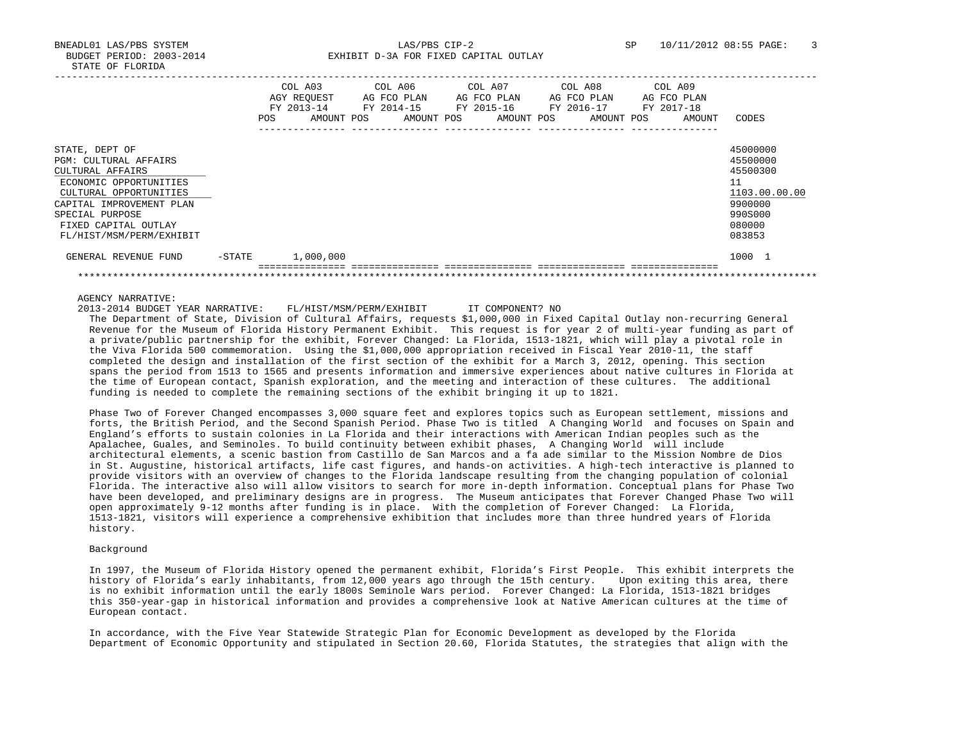BNEADL01 LAS/PBS SYSTEM LAS/PBS CIP-2 SP 10/11/2012 08:55 PAGE: 3 BUDGET PERIOD: 2003-2014 **EXHIBIT D-3A FOR FIXED CAPITAL OUTLAY** 

|                                                                                                                                                                                                                           |           | <b>POS</b> | COL A03<br>AGY REOUEST<br>FY 2013-14<br>AMOUNT POS | COL A06<br>AG FCO PLAN<br>FY 2014-15<br>AMOUNT POS |  | COL A07<br>AG FCO PLAN<br>FY 2015-16<br>AMOUNT POS | COL A08<br>AG FCO PLAN<br>FY 2016-17<br>AMOUNT POS | COL A09<br>AG FCO PLAN<br>FY 2017-18<br>AMOUNT | CODES                                                                                             |
|---------------------------------------------------------------------------------------------------------------------------------------------------------------------------------------------------------------------------|-----------|------------|----------------------------------------------------|----------------------------------------------------|--|----------------------------------------------------|----------------------------------------------------|------------------------------------------------|---------------------------------------------------------------------------------------------------|
| STATE, DEPT OF<br><b>PGM: CULTURAL AFFAIRS</b><br>CULTURAL AFFAIRS<br>ECONOMIC OPPORTUNITIES<br>CULTURAL OPPORTUNITIES<br>CAPITAL IMPROVEMENT PLAN<br>SPECIAL PURPOSE<br>FIXED CAPITAL OUTLAY<br>FL/HIST/MSM/PERM/EXHIBIT |           |            |                                                    |                                                    |  |                                                    |                                                    |                                                | 45000000<br>45500000<br>45500300<br>11<br>1103.00.00.00<br>9900000<br>990S000<br>080000<br>083853 |
| GENERAL REVENUE FUND                                                                                                                                                                                                      | $-$ STATE |            | 1,000,000                                          |                                                    |  |                                                    |                                                    |                                                | 1000 1                                                                                            |
|                                                                                                                                                                                                                           |           |            |                                                    |                                                    |  |                                                    |                                                    |                                                |                                                                                                   |

## AGENCY NARRATIVE:

2013-2014 BUDGET YEAR NARRATIVE: FL/HIST/MSM/PERM/EXHIBIT IT COMPONENT? NO

 The Department of State, Division of Cultural Affairs, requests \$1,000,000 in Fixed Capital Outlay non-recurring General Revenue for the Museum of Florida History Permanent Exhibit. This request is for year 2 of multi-year funding as part of a private/public partnership for the exhibit, Forever Changed: La Florida, 1513-1821, which will play a pivotal role in the Viva Florida 500 commemoration. Using the \$1,000,000 appropriation received in Fiscal Year 2010-11, the staff completed the design and installation of the first section of the exhibit for a March 3, 2012, opening. This section spans the period from 1513 to 1565 and presents information and immersive experiences about native cultures in Florida at the time of European contact, Spanish exploration, and the meeting and interaction of these cultures. The additional funding is needed to complete the remaining sections of the exhibit bringing it up to 1821.

 Phase Two of Forever Changed encompasses 3,000 square feet and explores topics such as European settlement, missions and forts, the British Period, and the Second Spanish Period. Phase Two is titled A Changing World and focuses on Spain and England's efforts to sustain colonies in La Florida and their interactions with American Indian peoples such as the Apalachee, Guales, and Seminoles. To build continuity between exhibit phases, A Changing World will include architectural elements, a scenic bastion from Castillo de San Marcos and a fa ade similar to the Mission Nombre de Dios in St. Augustine, historical artifacts, life cast figures, and hands-on activities. A high-tech interactive is planned to provide visitors with an overview of changes to the Florida landscape resulting from the changing population of colonial Florida. The interactive also will allow visitors to search for more in-depth information. Conceptual plans for Phase Two have been developed, and preliminary designs are in progress. The Museum anticipates that Forever Changed Phase Two will open approximately 9-12 months after funding is in place. With the completion of Forever Changed: La Florida, 1513-1821, visitors will experience a comprehensive exhibition that includes more than three hundred years of Florida history.

## Background

 In 1997, the Museum of Florida History opened the permanent exhibit, Florida's First People. This exhibit interprets the history of Florida's early inhabitants, from 12,000 years ago through the 15th century. Upon exiting this area, there is no exhibit information until the early 1800s Seminole Wars period. Forever Changed: La Florida, 1513-1821 bridges this 350-year-gap in historical information and provides a comprehensive look at Native American cultures at the time of European contact.

 In accordance, with the Five Year Statewide Strategic Plan for Economic Development as developed by the Florida Department of Economic Opportunity and stipulated in Section 20.60, Florida Statutes, the strategies that align with the